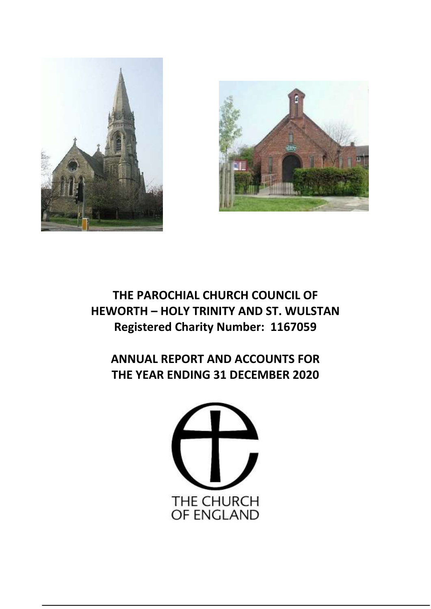



## **THE PAROCHIAL CHURCH COUNCIL OF HEWORTH – HOLY TRINITY AND ST. WULSTAN Registered Charity Number: 1167059**

**ANNUAL REPORT AND ACCOUNTS FOR THE YEAR ENDING 31 DECEMBER 2020**

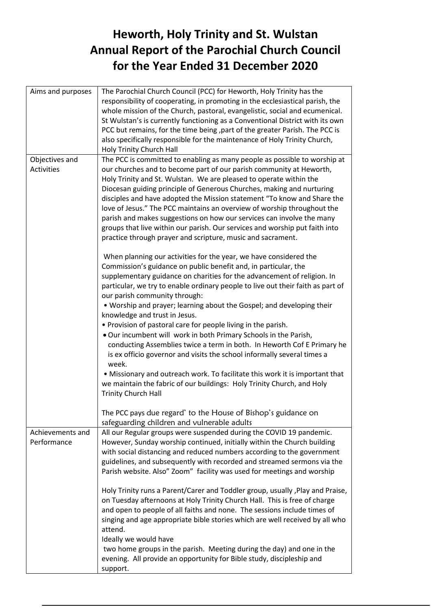## **Heworth, Holy Trinity and St. Wulstan Annual Report of the Parochial Church Council for the Year Ended 31 December 2020**

| The Parochial Church Council (PCC) for Heworth, Holy Trinity has the<br>responsibility of cooperating, in promoting in the ecclesiastical parish, the<br>whole mission of the Church, pastoral, evangelistic, social and ecumenical.<br>St Wulstan's is currently functioning as a Conventional District with its own<br>PCC but remains, for the time being, part of the greater Parish. The PCC is<br>also specifically responsible for the maintenance of Holy Trinity Church,<br>Holy Trinity Church Hall                                                                                                                                                                                                                                                                                                                                                                                                                             |
|-------------------------------------------------------------------------------------------------------------------------------------------------------------------------------------------------------------------------------------------------------------------------------------------------------------------------------------------------------------------------------------------------------------------------------------------------------------------------------------------------------------------------------------------------------------------------------------------------------------------------------------------------------------------------------------------------------------------------------------------------------------------------------------------------------------------------------------------------------------------------------------------------------------------------------------------|
| The PCC is committed to enabling as many people as possible to worship at<br>our churches and to become part of our parish community at Heworth,<br>Holy Trinity and St. Wulstan. We are pleased to operate within the<br>Diocesan guiding principle of Generous Churches, making and nurturing<br>disciples and have adopted the Mission statement "To know and Share the<br>love of Jesus." The PCC maintains an overview of worship throughout the<br>parish and makes suggestions on how our services can involve the many<br>groups that live within our parish. Our services and worship put faith into<br>practice through prayer and scripture, music and sacrament.                                                                                                                                                                                                                                                              |
| When planning our activities for the year, we have considered the<br>Commission's guidance on public benefit and, in particular, the<br>supplementary guidance on charities for the advancement of religion. In<br>particular, we try to enable ordinary people to live out their faith as part of<br>our parish community through:<br>. Worship and prayer; learning about the Gospel; and developing their<br>knowledge and trust in Jesus.<br>• Provision of pastoral care for people living in the parish.<br>. Our incumbent will work in both Primary Schools in the Parish,<br>conducting Assemblies twice a term in both. In Heworth Cof E Primary he<br>is ex officio governor and visits the school informally several times a<br>week.<br>• Missionary and outreach work. To facilitate this work it is important that<br>we maintain the fabric of our buildings: Holy Trinity Church, and Holy<br><b>Trinity Church Hall</b> |
| The PCC pays due regard' to the House of Bishop's guidance on<br>safeguarding children and vulnerable adults                                                                                                                                                                                                                                                                                                                                                                                                                                                                                                                                                                                                                                                                                                                                                                                                                              |
| All our Regular groups were suspended during the COVID 19 pandemic.<br>However, Sunday worship continued, initially within the Church building<br>with social distancing and reduced numbers according to the government<br>guidelines, and subsequently with recorded and streamed sermons via the<br>Parish website. Also" Zoom" facility was used for meetings and worship                                                                                                                                                                                                                                                                                                                                                                                                                                                                                                                                                             |
| Holy Trinity runs a Parent/Carer and Toddler group, usually, Play and Praise,<br>on Tuesday afternoons at Holy Trinity Church Hall. This is free of charge<br>and open to people of all faiths and none. The sessions include times of<br>singing and age appropriate bible stories which are well received by all who<br>attend.<br>Ideally we would have<br>two home groups in the parish. Meeting during the day) and one in the<br>evening. All provide an opportunity for Bible study, discipleship and<br>support.                                                                                                                                                                                                                                                                                                                                                                                                                  |
|                                                                                                                                                                                                                                                                                                                                                                                                                                                                                                                                                                                                                                                                                                                                                                                                                                                                                                                                           |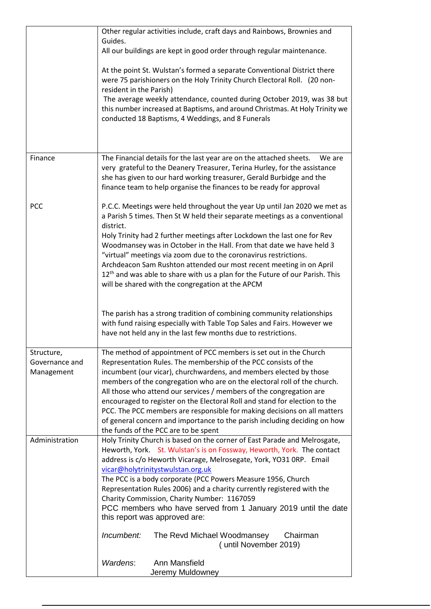|                | Other regular activities include, craft days and Rainbows, Brownies and                                                                           |
|----------------|---------------------------------------------------------------------------------------------------------------------------------------------------|
|                | Guides.<br>All our buildings are kept in good order through regular maintenance.                                                                  |
|                |                                                                                                                                                   |
|                | At the point St. Wulstan's formed a separate Conventional District there                                                                          |
|                | were 75 parishioners on the Holy Trinity Church Electoral Roll. (20 non-                                                                          |
|                | resident in the Parish)                                                                                                                           |
|                | The average weekly attendance, counted during October 2019, was 38 but                                                                            |
|                | this number increased at Baptisms, and around Christmas. At Holy Trinity we<br>conducted 18 Baptisms, 4 Weddings, and 8 Funerals                  |
|                |                                                                                                                                                   |
|                |                                                                                                                                                   |
|                |                                                                                                                                                   |
| Finance        | The Financial details for the last year are on the attached sheets.<br>We are                                                                     |
|                | very grateful to the Deanery Treasurer, Terina Hurley, for the assistance<br>she has given to our hard working treasurer, Gerald Burbidge and the |
|                | finance team to help organise the finances to be ready for approval                                                                               |
|                |                                                                                                                                                   |
| <b>PCC</b>     | P.C.C. Meetings were held throughout the year Up until Jan 2020 we met as                                                                         |
|                | a Parish 5 times. Then St W held their separate meetings as a conventional                                                                        |
|                | district.                                                                                                                                         |
|                | Holy Trinity had 2 further meetings after Lockdown the last one for Rev<br>Woodmansey was in October in the Hall. From that date we have held 3   |
|                | "virtual" meetings via zoom due to the coronavirus restrictions.                                                                                  |
|                | Archdeacon Sam Rushton attended our most recent meeting in on April                                                                               |
|                | $12th$ and was able to share with us a plan for the Future of our Parish. This                                                                    |
|                | will be shared with the congregation at the APCM                                                                                                  |
|                |                                                                                                                                                   |
|                | The parish has a strong tradition of combining community relationships                                                                            |
|                | with fund raising especially with Table Top Sales and Fairs. However we                                                                           |
|                | have not held any in the last few months due to restrictions.                                                                                     |
| Structure,     | The method of appointment of PCC members is set out in the Church                                                                                 |
| Governance and | Representation Rules. The membership of the PCC consists of the                                                                                   |
| Management     | incumbent (our vicar), churchwardens, and members elected by those                                                                                |
|                | members of the congregation who are on the electoral roll of the church.                                                                          |
|                | All those who attend our services / members of the congregation are                                                                               |
|                | encouraged to register on the Electoral Roll and stand for election to the                                                                        |
|                | PCC. The PCC members are responsible for making decisions on all matters                                                                          |
|                | of general concern and importance to the parish including deciding on how<br>the funds of the PCC are to be spent                                 |
| Administration | Holy Trinity Church is based on the corner of East Parade and Melrosgate,                                                                         |
|                | Heworth, York. St. Wulstan's is on Fossway, Heworth, York. The contact                                                                            |
|                | address is c/o Heworth Vicarage, Melrosegate, York, YO31 ORP. Email                                                                               |
|                | vicar@holytrinitystwulstan.org.uk                                                                                                                 |
|                | The PCC is a body corporate (PCC Powers Measure 1956, Church                                                                                      |
|                | Representation Rules 2006) and a charity currently registered with the<br>Charity Commission, Charity Number: 1167059                             |
|                | PCC members who have served from 1 January 2019 until the date                                                                                    |
|                | this report was approved are:                                                                                                                     |
|                | Incumbent:<br>The Revd Michael Woodmansey<br>Chairman                                                                                             |
|                | (until November 2019)                                                                                                                             |
|                |                                                                                                                                                   |
|                | Wardens:<br>Ann Mansfield<br>Jeremy Muldowney                                                                                                     |